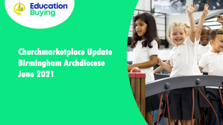# **Education**<br>Buying

# **Churchmarketplace Update Birmingham Archdiocese June 2021**



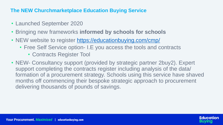- Launched September 2020
- Bringing new frameworks **informed by schools for schools**
- NEW website to register <https://educationbuying.com/cmp/>
	- Free Self Service option- I.E you access the tools and contracts
		- Contracts Register Tool
- NEW- Consultancy support (provided by strategic partner 2buy2). Expert support completing the contracts register including analysis of the data/ delivering thousands of pounds of savings.

formation of a procurement strategy. Schools using this service have shaved months off commencing their bespoke strategic approach to procurement



## **The NEW Churchmarketplace Education Buying Service**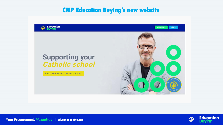# **CMP Education Buying's new website**



# **Supporting your<br>Catholic school**

REGISTER YOUR SCHOOL OR MAT

**Your Procurement. Maximised | educationbuying.com** 





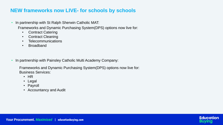- In partnership with St Ralph Sherwin Catholic MAT: Frameworks and Dynamic Purchasing System(DPS) options now live for:
	- Contract Catering
	- Contract Cleaning
	- Telecommunications
	- Broadband
- In partnership with Painsley Catholic Multi Academy Company:

## **NEW frameworks now LIVE- for schools by schools**

Frameworks and Dynamic Purchasing System(DPS) options now live for: Business Services:

- HR
- Legal
- Payroll
- Accountancy and Audit



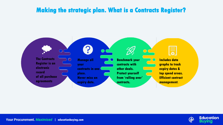# **Making the strategic plan. What is a Contracts Register?**



**Your Procurement. Maximised | educationbuying.com** 



**Benchmark your contracts with other deals. Protect yourself from 'rolling over' contracts.**



**Includes data graphs to track expiry dates & top spend areas. Efficient contract management.** 





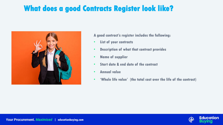# **What does a good Contracts Register look like?**



#### **Your Procurement. Maximised | educationbuying.com**

- **A good contract's register includes the following:**
- **List of your contracts**
- **Description of what that contract provides**
- **Name of supplier**
- **Start date & end date of the contract**
- **Annual value**
- **'Whole life value' (the total cost over the life of the contract)**



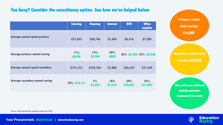### **Too busy? Consider the consultancy option. See how we've helped below**

|                                        | <b>Catering</b> | <b>Cleaning</b> | <b>Internet</b> | <b>MFD</b>     | <b>Office</b><br>supplies |
|----------------------------------------|-----------------|-----------------|-----------------|----------------|---------------------------|
| <b>Average annual spend primary</b>    | £57,625         | £20,746         | £1,604          | £6,416         | £7,202                    |
| <b>Average primary annual saving</b>   | 11%<br>£6338    | 14%<br>£2,904   | 50%<br>£802     |                | 36% £2,309 34% £2,448     |
| <b>Average annual spend secondary</b>  | £131,313        | £103,764        | £7,880          | £26,659        | £31,449                   |
| <b>Average secondary annual saving</b> | $10\%$ £13,131  | $7\%$<br>£7,263 | 18%<br>£1,418   | 39%<br>£10,397 | 35%<br>£11,007            |

**Source: 2buy2 North West England school data 2020**

#### **Your Procurement. Maximised | educationbuying.com**

**Primary school total savings £14,801**

### **Secondary school total savings £43,216**

• **This could mean additional teaching assistants, equipment & lots more!**







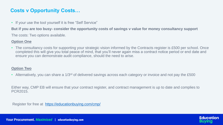#### **But if you are too busy- consider the opportunity costs of savings v value for money consultancy support**

The costs: Two options available.

#### **Option One**

• The consultancy costs for supporting your strategic vision informed by the Contracts register is £500 per school. Once completed this will give you total peace of mind, that you'll never again miss a contract notice period or end date and



ensure you can demonstrate audit compliance, should the need to arise.

#### **Option Two**

• Alternatively, you can share a 1/3<sup>rd</sup> of delivered savings across each category or invoice and not pay the £500

Either way, CMP EB will ensure that your contract register, and contract management is up to date and complies to PCR2015.

Register for free at <https://educationbuying.com/cmp/>

## **Costs v Opportunity Costs…**

• If your use the tool yourself it is free "Self Service"